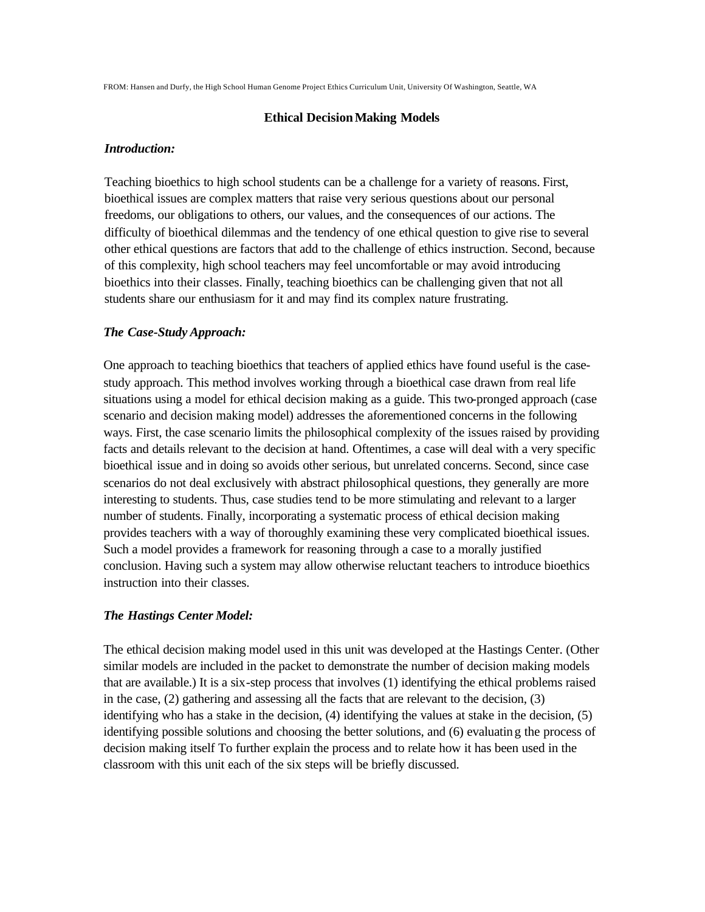FROM: Hansen and Durfy, the High School Human Genome Project Ethics Curriculum Unit, University Of Washington, Seattle, WA

### **Ethical DecisionMaking Models**

#### *Introduction:*

Teaching bioethics to high school students can be a challenge for a variety of reasons. First, bioethical issues are complex matters that raise very serious questions about our personal freedoms, our obligations to others, our values, and the consequences of our actions. The difficulty of bioethical dilemmas and the tendency of one ethical question to give rise to several other ethical questions are factors that add to the challenge of ethics instruction. Second, because of this complexity, high school teachers may feel uncomfortable or may avoid introducing bioethics into their classes. Finally, teaching bioethics can be challenging given that not all students share our enthusiasm for it and may find its complex nature frustrating.

## *The Case-Study Approach:*

One approach to teaching bioethics that teachers of applied ethics have found useful is the casestudy approach. This method involves working through a bioethical case drawn from real life situations using a model for ethical decision making as a guide. This two-pronged approach (case scenario and decision making model) addresses the aforementioned concerns in the following ways. First, the case scenario limits the philosophical complexity of the issues raised by providing facts and details relevant to the decision at hand. Oftentimes, a case will deal with a very specific bioethical issue and in doing so avoids other serious, but unrelated concerns. Second, since case scenarios do not deal exclusively with abstract philosophical questions, they generally are more interesting to students. Thus, case studies tend to be more stimulating and relevant to a larger number of students. Finally, incorporating a systematic process of ethical decision making provides teachers with a way of thoroughly examining these very complicated bioethical issues. Such a model provides a framework for reasoning through a case to a morally justified conclusion. Having such a system may allow otherwise reluctant teachers to introduce bioethics instruction into their classes.

## *The Hastings Center Model:*

The ethical decision making model used in this unit was developed at the Hastings Center. (Other similar models are included in the packet to demonstrate the number of decision making models that are available.) It is a six-step process that involves (1) identifying the ethical problems raised in the case, (2) gathering and assessing all the facts that are relevant to the decision, (3) identifying who has a stake in the decision, (4) identifying the values at stake in the decision, (5) identifying possible solutions and choosing the better solutions, and (6) evaluating the process of decision making itself To further explain the process and to relate how it has been used in the classroom with this unit each of the six steps will be briefly discussed.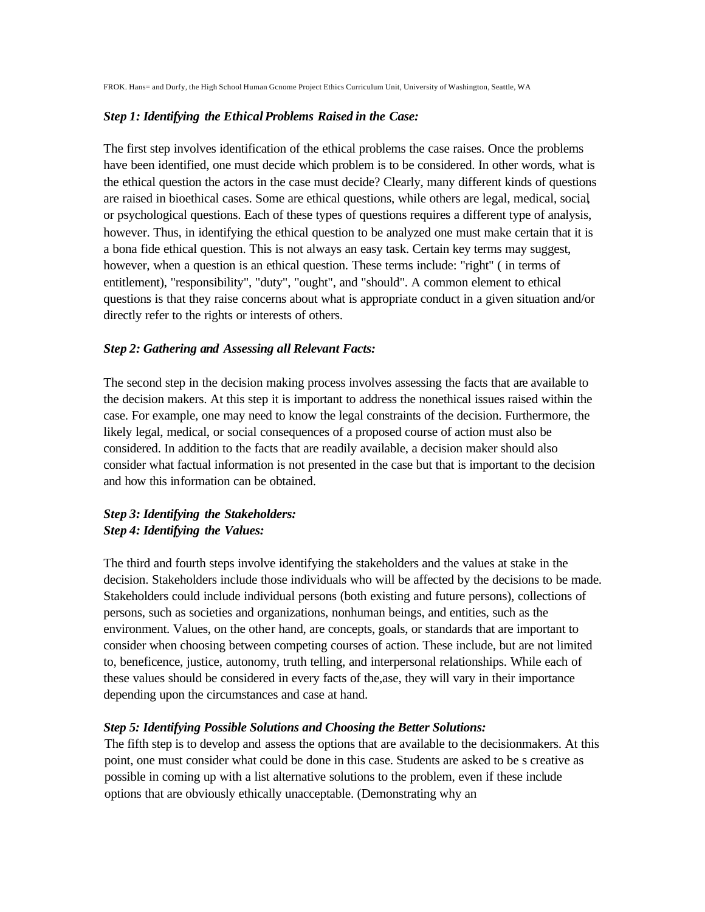FROK. Hans= and Durfy, the High School Human Gcnome Project Ethics Curriculum Unit, University of Washington, Seattle, WA

## *Step 1: Identifying the EthicalProblems Raised in the Case:*

The first step involves identification of the ethical problems the case raises. Once the problems have been identified, one must decide which problem is to be considered. In other words, what is the ethical question the actors in the case must decide? Clearly, many different kinds of questions are raised in bioethical cases. Some are ethical questions, while others are legal, medical, social, or psychological questions. Each of these types of questions requires a different type of analysis, however. Thus, in identifying the ethical question to be analyzed one must make certain that it is a bona fide ethical question. This is not always an easy task. Certain key terms may suggest, however, when a question is an ethical question. These terms include: "right" ( in terms of entitlement), "responsibility", "duty", "ought", and "should". A common element to ethical questions is that they raise concerns about what is appropriate conduct in a given situation and/or directly refer to the rights or interests of others.

## *Step 2: Gathering and Assessing all Relevant Facts:*

The second step in the decision making process involves assessing the facts that are available to the decision makers. At this step it is important to address the nonethical issues raised within the case. For example, one may need to know the legal constraints of the decision. Furthermore, the likely legal, medical, or social consequences of a proposed course of action must also be considered. In addition to the facts that are readily available, a decision maker should also consider what factual information is not presented in the case but that is important to the decision and how this information can be obtained.

# *Step 3: Identifying the Stakeholders: Step 4: Identifying the Values:*

The third and fourth steps involve identifying the stakeholders and the values at stake in the decision. Stakeholders include those individuals who will be affected by the decisions to be made. Stakeholders could include individual persons (both existing and future persons), collections of persons, such as societies and organizations, nonhuman beings, and entities, such as the environment. Values, on the other hand, are concepts, goals, or standards that are important to consider when choosing between competing courses of action. These include, but are not limited to, beneficence, justice, autonomy, truth telling, and interpersonal relationships. While each of these values should be considered in every facts of the,ase, they will vary in their importance depending upon the circumstances and case at hand.

### *Step 5: Identifying Possible Solutions and Choosing the Better Solutions:*

The fifth step is to develop and assess the options that are available to the decisionmakers. At this point, one must consider what could be done in this case. Students are asked to be s creative as possible in coming up with a list alternative solutions to the problem, even if these include options that are obviously ethically unacceptable. (Demonstrating why an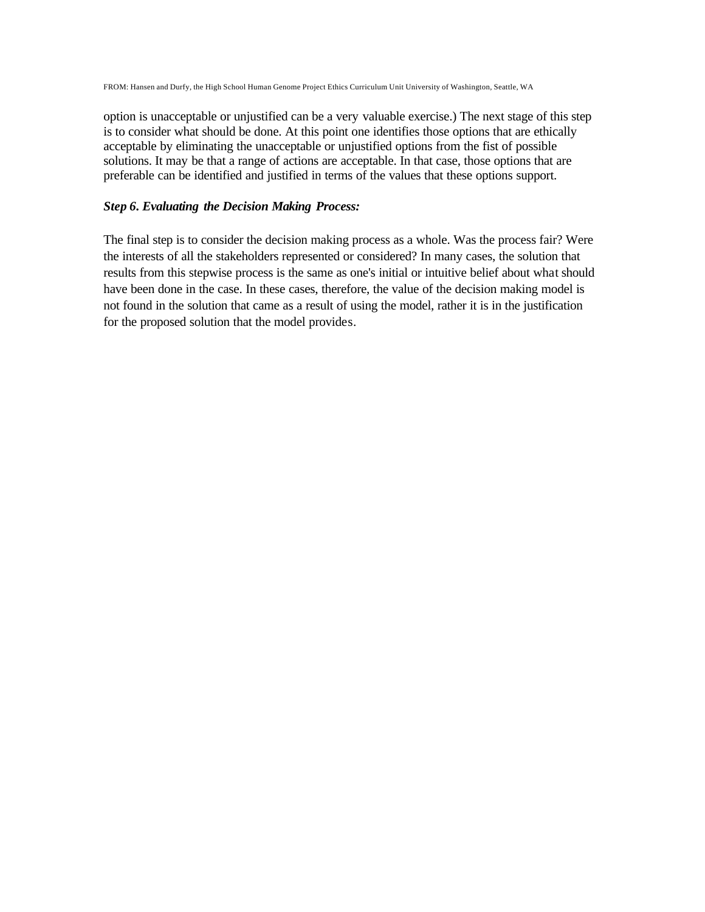FROM: Hansen and Durfy, the High School Human Genome Project Ethics Curriculum Unit University of Washington, Seattle, WA

option is unacceptable or unjustified can be a very valuable exercise.) The next stage of this step is to consider what should be done. At this point one identifies those options that are ethically acceptable by eliminating the unacceptable or unjustified options from the fist of possible solutions. It may be that a range of actions are acceptable. In that case, those options that are preferable can be identified and justified in terms of the values that these options support.

## *Step 6. Evaluating the Decision Making Process:*

The final step is to consider the decision making process as a whole. Was the process fair? Were the interests of all the stakeholders represented or considered? In many cases, the solution that results from this stepwise process is the same as one's initial or intuitive belief about what should have been done in the case. In these cases, therefore, the value of the decision making model is not found in the solution that came as a result of using the model, rather it is in the justification for the proposed solution that the model provides.